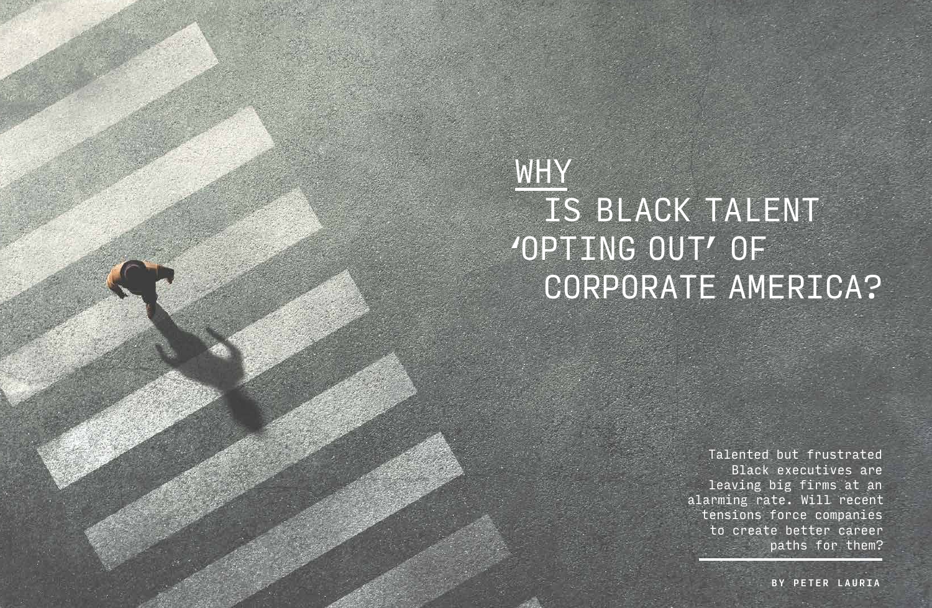# Forced by competition and now the  $P$ 'OPTING OUT' OF CORPORATE AMERICA? **TS BLACK TALENT** WHY IS BLACK TALENT

By Chris Taylor

Talented but frustrated Black executives are leaving big firms at an alarming rate. Will recent tensions force companies to create better career paths for them?

BY PETER LAURIA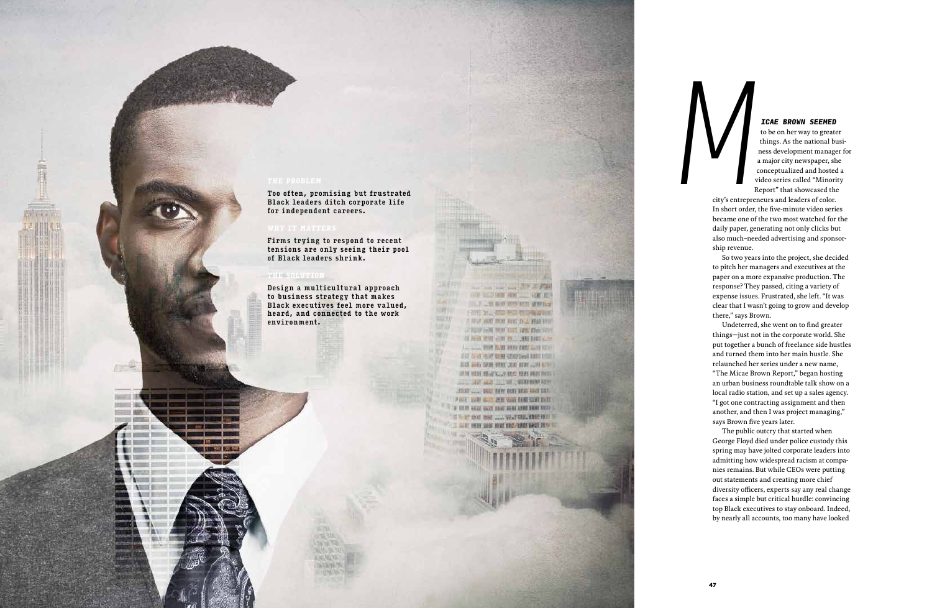$\mathbb{R}$ 

**Barnett St** 

**DESCRIPTION** 

**Contract Advise** 

**MONTH** III **Normal Big** 

# *ICAE BROWN SEEMED*

to be on her way to greater things. As the national busi ness development manager for a major city newspaper, she conceptualized and hosted a video series called "Minority Report" that showcased the

city's entrepreneurs and leaders of color. In short order, the five-minute video series became one of the two most watched for the daily paper, generating not only clicks but also much–needed advertising and sponsor ship revenue.

So two years into the project, she decided to pitch her managers and executives at the paper on a more expansive production. The response? They passed, citing a variety of expense issues. Frustrated, she left. "It was clear that I wasn't going to grow and develop there," says Brown.

Undeterred, she went on to find greater things—just not in the corporate world. She put together a bunch of freelance side hustles and turned them into her main hustle. She relaunched her series under a new name, "The Micae Brown Report," began hosting an urban business roundtable talk show on a local radio station, and set up a sales agency. "I got one contracting assignment and then another, and then I was project managing," says Brown five years later.

The public outcry that started when George Floyd died under police custody this spring may have jolted corporate leaders into admitting how widespread racism at compa nies remains. But while CEOs were putting out statements and creating more chief diversity officers, experts say any real change faces a simple but critical hurdle: convincing top Black executives to stay onboard. Indeed, by nearly all accounts, too many have looked

Too often, promising but frustrated Black leaders ditch corporate life for independent careers.

Firms trying to respond to recent tensions are only seeing their pool of Black leaders shrink.

# *THE SOLUTION*

Design a multicultural approach to business strategy that makes Black executives feel more valued, heard, and connected to the work environment.

 $-1$  3  $7$  3  $10$ **WHO WAS SHIP WHO ARE ARRESTED ILE ... TO HOTEL RESERVE METALLY** 

FREE SHOP RED RESIDENCE WITH

IS AND COLLECTIVE FORD THE 2 STAT AND . THEY GAN THIS LINE CAN THE HUN-以后国家管理书 建聚糖酸盐 THE R.H. FIRE CARD AND JULIA SHARP OF BUILDING AND LOCAL ALLE AND SPAN DIED CAN SERVICE AND

ANNE WANT KNOCH SO LOOK BEEK WERE INCOL. THE SAFE CARD WITH MELTING AND ADDED MILKE ....... VALLY FAME VALLE VALLE VALLE CLT.

PACE LAN IL ... DEN VAN FAN WAT DIT!

AT 5-17 mod 1648 222, 99-2 120-2 130 P RED To IS GOT MEET WHE BIRE THE FURNITURE TO

NAME NAME AND DRIVE AS NOT THREE OF REAL PARTY.

出群則

33270

# *M*<br>*M*<br>city's entreprend<br>In short order, t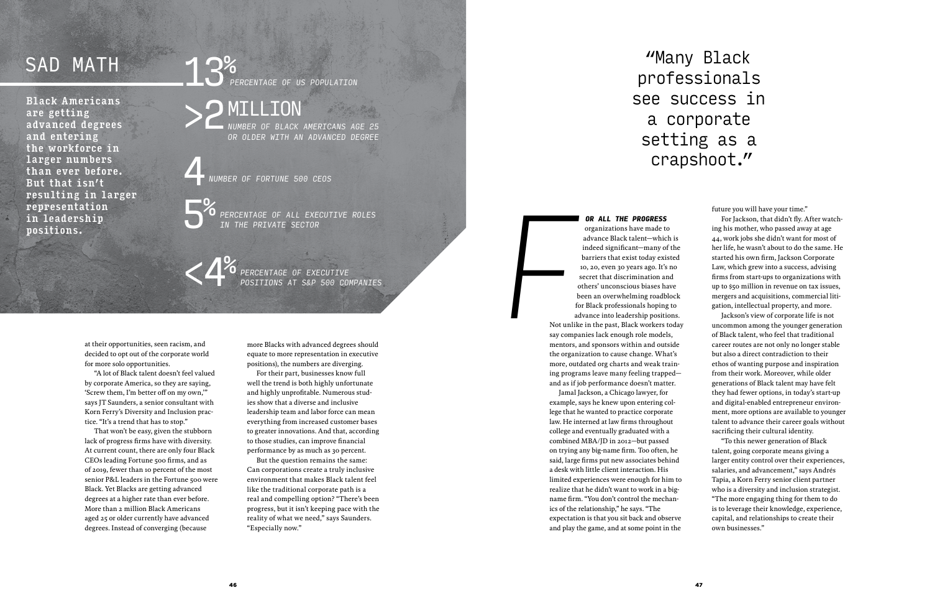## *OR ALL THE PROGRESS*

Jamal Jackson, a Chicago lawyer, for example, says he knew upon entering college that he wanted to practice corporate law. He interned at law firms throughout college and eventually graduated with a combined MBA/JD in 2012—but passed on trying any big-name firm. Too often, he said, large firms put new associates behind a desk with little client interaction. His limited experiences were enough for him to realize that he didn't want to work in a bigname firm. "You don't control the mechanics of the relationship," he says. "The expectation is that you sit back and observe and play the game, and at some point in the

future you will have your time."

"Many Black professionals see success in a corporate setting as a crapshoot."

> For Jackson, that didn't fly. After watching his mother, who passed away at age 44, work jobs she didn't want for most of her life, he wasn't about to do the same. He started his own firm, Jackson Corporate Law, which grew into a success, advising firms from start-ups to organizations with up to \$50 million in revenue on tax issues, mergers and acquisitions, commercial litigation, intellectual property, and more.

> Jackson's view of corporate life is not uncommon among the younger generation of Black talent, who feel that traditional career routes are not only no longer stable but also a direct contradiction to their ethos of wanting purpose and inspiration from their work. Moreover, while older generations of Black talent may have felt they had fewer options, in today's start-up and digital-enabled entrepreneur environment, more options are available to younger talent to advance their career goals without sacrificing their cultural identity.

organizations have made to advance Black talent—which is indeed significant—many of the barriers that exist today existed 10, 20, even 30 years ago. It's no secret that discrimination and others' unconscious biases have been an overwhelming roadblock for Black professionals hoping to advance into leadership positions. Not unlike in the past, Black workers today say companies lack enough role models, mentors, and sponsors within and outside the organization to cause change. What's more, outdated org charts and weak training programs leave many feeling trapped and as if job performance doesn't matter. *F*

**5%**<br>*PERCENTAGE OF ALL EXECUTIVE ROLES*<br>*IN THE PRIVATE SECTOR IN THE PRIVATE SECTOR*

> "To this newer generation of Black talent, going corporate means giving a larger entity control over their experiences, salaries, and advancement," says Andrés Tapia, a Korn Ferry senior client partner who is a diversity and inclusion strategist. "The more engaging thing for them to do is to leverage their knowledge, experience, capital, and relationships to create their own businesses."

at their opportunities, seen racism, and decided to opt out of the corporate world for more solo opportunities.

"A lot of Black talent doesn't feel valued by corporate America, so they are saying, 'Screw them, I'm better off on my own,'" says JT Saunders, a senior consultant with Korn Ferry's Diversity and Inclusion practice. "It's a trend that has to stop."

That won't be easy, given the stubborn lack of progress firms have with diversity. At current count, there are only four Black CEOs leading Fortune 500 firms, and as of 2019, fewer than 10 percent of the most senior P&L leaders in the Fortune 500 were Black. Yet Blacks are getting advanced degrees at a higher rate than ever before. More than 2 million Black Americans aged 25 or older currently have advanced degrees. Instead of converging (because

more Blacks with advanced degrees should equate to more representation in executive positions), the numbers are diverging.

For their part, businesses know full well the trend is both highly unfortunate and highly unprofitable. Numerous studies show that a diverse and inclusive leadership team and labor force can mean everything from increased customer bases to greater innovations. And that, according to those studies, can improve financial performance by as much as 30 percent.

But the question remains the same: Can corporations create a truly inclusive environment that makes Black talent feel like the traditional corporate path is a real and compelling option? "There's been progress, but it isn't keeping pace with the reality of what we need," says Saunders. "Especially now."

# SAD MATH

Black Americans are getting advanced degrees and entering the workforce in larger numbers than ever before. But that isn't resulting in larger representation in leadership positions.



<4%*PERCENTAGE OF EXECUTIVE POSITIONS AT S&P 500 COMPANIES*

4*NUMBER OF FORTUNE 500 CEOS*

# >2MILLION

*NUMBER OF BLACK AMERICANS AGE 25 OR OLDER WITH AN ADVANCED DEGREE*